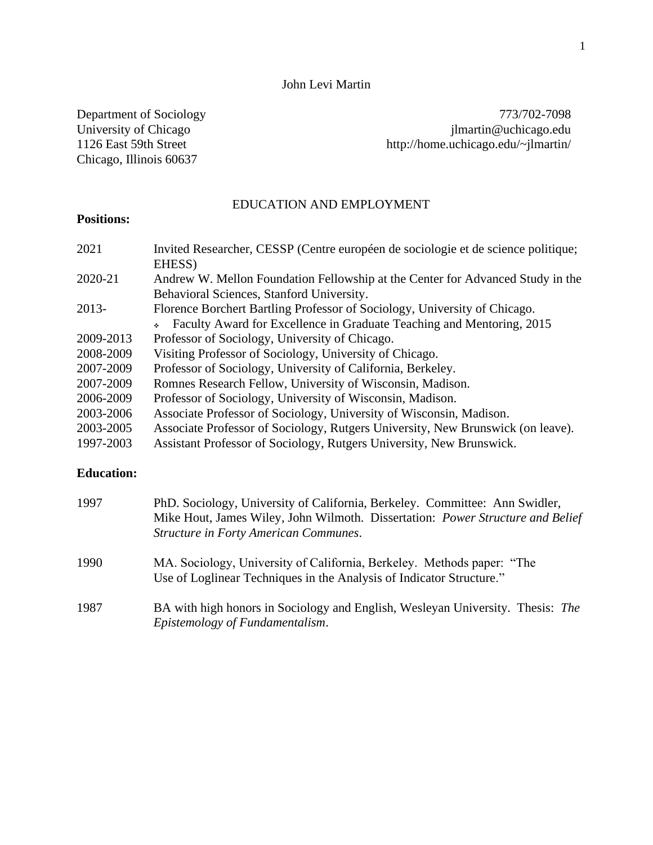# John Levi Martin

Chicago, Illinois 60637

Department of Sociology 773/702-7098<br>University of Chicago due of the University of Chicago due of the University of Chicago due of the University of Chicago due of the University of Chicago due of the University of Chicag University of Chicago intervals of Chicago intervals of Chicago intervals of Chicago intervals of Chicago.edu<br>
1126 East 59th Street http://home.uchicago.edu/~jlmartin/ http://home.uchicago.edu/~jlmartin/

# EDUCATION AND EMPLOYMENT

# **Positions:**

| 2021      | Invited Researcher, CESSP (Centre européen de sociologie et de science politique; |
|-----------|-----------------------------------------------------------------------------------|
|           | EHESS)                                                                            |
| 2020-21   | Andrew W. Mellon Foundation Fellowship at the Center for Advanced Study in the    |
|           | Behavioral Sciences, Stanford University.                                         |
| 2013-     | Florence Borchert Bartling Professor of Sociology, University of Chicago.         |
|           | • Faculty Award for Excellence in Graduate Teaching and Mentoring, 2015           |
| 2009-2013 | Professor of Sociology, University of Chicago.                                    |
| 2008-2009 | Visiting Professor of Sociology, University of Chicago.                           |
| 2007-2009 | Professor of Sociology, University of California, Berkeley.                       |
| 2007-2009 | Romnes Research Fellow, University of Wisconsin, Madison.                         |
| 2006-2009 | Professor of Sociology, University of Wisconsin, Madison.                         |
| 2003-2006 | Associate Professor of Sociology, University of Wisconsin, Madison.               |
| 2003-2005 | Associate Professor of Sociology, Rutgers University, New Brunswick (on leave).   |
| 1997-2003 | Assistant Professor of Sociology, Rutgers University, New Brunswick.              |

# **Education:**

| 1997 | PhD. Sociology, University of California, Berkeley. Committee: Ann Swidler,<br>Mike Hout, James Wiley, John Wilmoth. Dissertation: Power Structure and Belief<br>Structure in Forty American Communes. |
|------|--------------------------------------------------------------------------------------------------------------------------------------------------------------------------------------------------------|
| 1990 | MA. Sociology, University of California, Berkeley. Methods paper: "The<br>Use of Loglinear Techniques in the Analysis of Indicator Structure."                                                         |
| 1987 | BA with high honors in Sociology and English, Wesleyan University. Thesis: The<br>Epistemology of Fundamentalism.                                                                                      |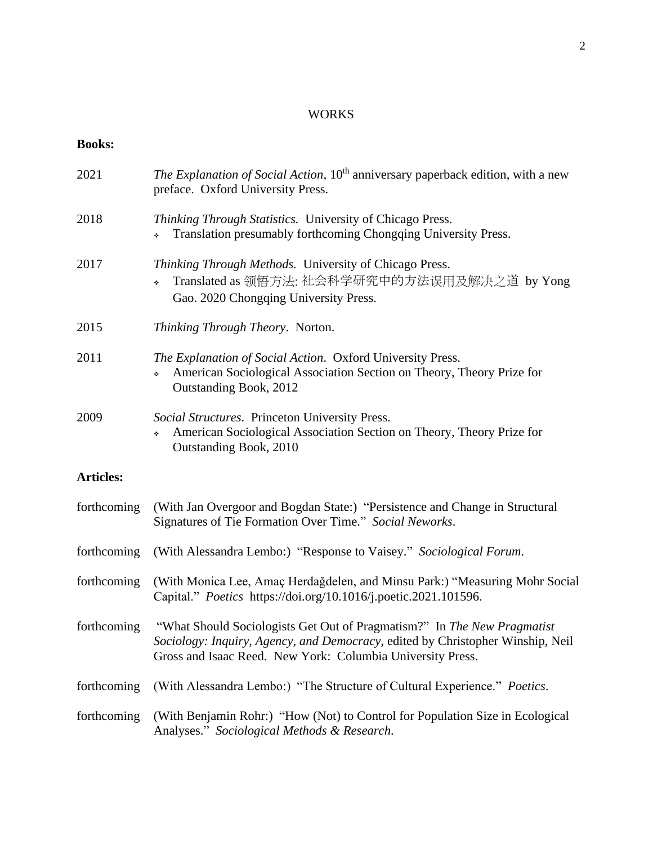# WORKS

# **Books:**

| 2021             | The Explanation of Social Action, 10 <sup>th</sup> anniversary paperback edition, with a new<br>preface. Oxford University Press.                                                                                       |
|------------------|-------------------------------------------------------------------------------------------------------------------------------------------------------------------------------------------------------------------------|
| 2018             | Thinking Through Statistics. University of Chicago Press.<br>Translation presumably forthcoming Chongqing University Press.                                                                                             |
| 2017             | Thinking Through Methods. University of Chicago Press.<br>Translated as 领悟方法: 社会科学研究中的方法误用及解决之道 by Yong<br>٠<br>Gao. 2020 Chongqing University Press.                                                                   |
| 2015             | Thinking Through Theory. Norton.                                                                                                                                                                                        |
| 2011             | The Explanation of Social Action. Oxford University Press.<br>American Sociological Association Section on Theory, Theory Prize for<br>Outstanding Book, 2012                                                           |
| 2009             | Social Structures. Princeton University Press.<br>American Sociological Association Section on Theory, Theory Prize for<br>÷<br>Outstanding Book, 2010                                                                  |
| <b>Articles:</b> |                                                                                                                                                                                                                         |
| forthcoming      | (With Jan Overgoor and Bogdan State:) "Persistence and Change in Structural<br>Signatures of Tie Formation Over Time." Social Neworks.                                                                                  |
| forthcoming      | (With Alessandra Lembo:) "Response to Vaisey." Sociological Forum.                                                                                                                                                      |
| forthcoming      | (With Monica Lee, Amaç Herdağdelen, and Minsu Park:) "Measuring Mohr Social<br>Capital." Poetics https://doi.org/10.1016/j.poetic.2021.101596.                                                                          |
| forthcoming      | "What Should Sociologists Get Out of Pragmatism?" In The New Pragmatist<br>Sociology: Inquiry, Agency, and Democracy, edited by Christopher Winship, Neil<br>Gross and Isaac Reed. New York: Columbia University Press. |
| forthcoming      | (With Alessandra Lembo:) "The Structure of Cultural Experience." Poetics.                                                                                                                                               |
| forthcoming      | (With Benjamin Rohr:) "How (Not) to Control for Population Size in Ecological<br>Analyses." Sociological Methods & Research.                                                                                            |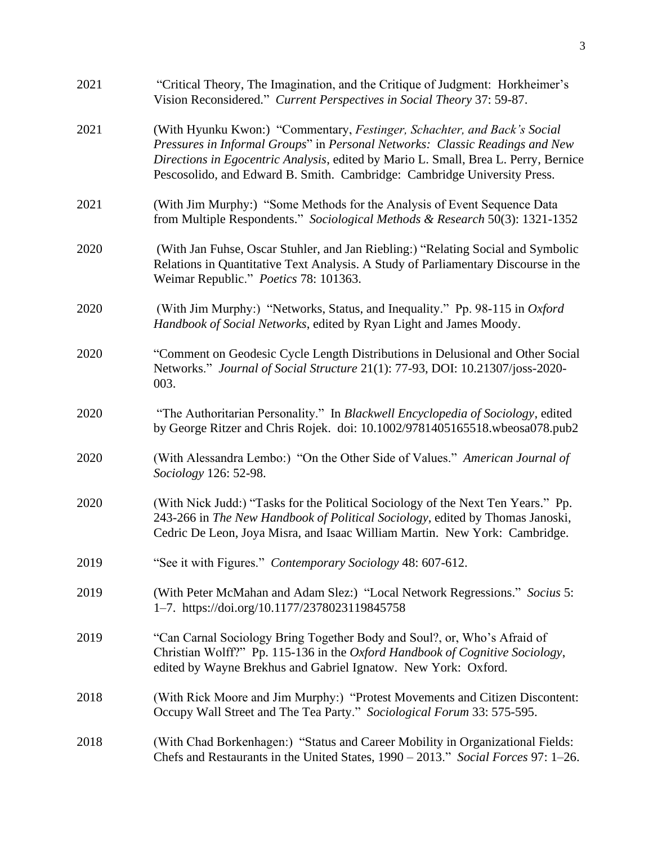| 2021 | "Critical Theory, The Imagination, and the Critique of Judgment: Horkheimer's<br>Vision Reconsidered." Current Perspectives in Social Theory 37: 59-87.                                                                                                                                                                     |
|------|-----------------------------------------------------------------------------------------------------------------------------------------------------------------------------------------------------------------------------------------------------------------------------------------------------------------------------|
| 2021 | (With Hyunku Kwon:) "Commentary, Festinger, Schachter, and Back's Social<br>Pressures in Informal Groups" in Personal Networks: Classic Readings and New<br>Directions in Egocentric Analysis, edited by Mario L. Small, Brea L. Perry, Bernice<br>Pescosolido, and Edward B. Smith. Cambridge: Cambridge University Press. |
| 2021 | (With Jim Murphy:) "Some Methods for the Analysis of Event Sequence Data<br>from Multiple Respondents." Sociological Methods & Research 50(3): 1321-1352                                                                                                                                                                    |
| 2020 | (With Jan Fuhse, Oscar Stuhler, and Jan Riebling:) "Relating Social and Symbolic<br>Relations in Quantitative Text Analysis. A Study of Parliamentary Discourse in the<br>Weimar Republic." Poetics 78: 101363.                                                                                                             |
| 2020 | (With Jim Murphy:) "Networks, Status, and Inequality." Pp. 98-115 in Oxford<br>Handbook of Social Networks, edited by Ryan Light and James Moody.                                                                                                                                                                           |
| 2020 | "Comment on Geodesic Cycle Length Distributions in Delusional and Other Social<br>Networks." Journal of Social Structure 21(1): 77-93, DOI: 10.21307/joss-2020-<br>003.                                                                                                                                                     |
| 2020 | "The Authoritarian Personality." In Blackwell Encyclopedia of Sociology, edited<br>by George Ritzer and Chris Rojek. doi: 10.1002/9781405165518.wbeosa078.pub2                                                                                                                                                              |
| 2020 | (With Alessandra Lembo:) "On the Other Side of Values." American Journal of<br>Sociology 126: 52-98.                                                                                                                                                                                                                        |
| 2020 | (With Nick Judd:) "Tasks for the Political Sociology of the Next Ten Years." Pp.<br>243-266 in The New Handbook of Political Sociology, edited by Thomas Janoski,<br>Cedric De Leon, Joya Misra, and Isaac William Martin. New York: Cambridge.                                                                             |
| 2019 | "See it with Figures." Contemporary Sociology 48: 607-612.                                                                                                                                                                                                                                                                  |
| 2019 | (With Peter McMahan and Adam Slez:) "Local Network Regressions." Socius 5:<br>1-7. https://doi.org/10.1177/2378023119845758                                                                                                                                                                                                 |
| 2019 | "Can Carnal Sociology Bring Together Body and Soul?, or, Who's Afraid of<br>Christian Wolff?" Pp. 115-136 in the Oxford Handbook of Cognitive Sociology,<br>edited by Wayne Brekhus and Gabriel Ignatow. New York: Oxford.                                                                                                  |
| 2018 | (With Rick Moore and Jim Murphy:) "Protest Movements and Citizen Discontent:<br>Occupy Wall Street and The Tea Party." Sociological Forum 33: 575-595.                                                                                                                                                                      |
| 2018 | (With Chad Borkenhagen:) "Status and Career Mobility in Organizational Fields:<br>Chefs and Restaurants in the United States, 1990 – 2013." Social Forces 97: 1–26.                                                                                                                                                         |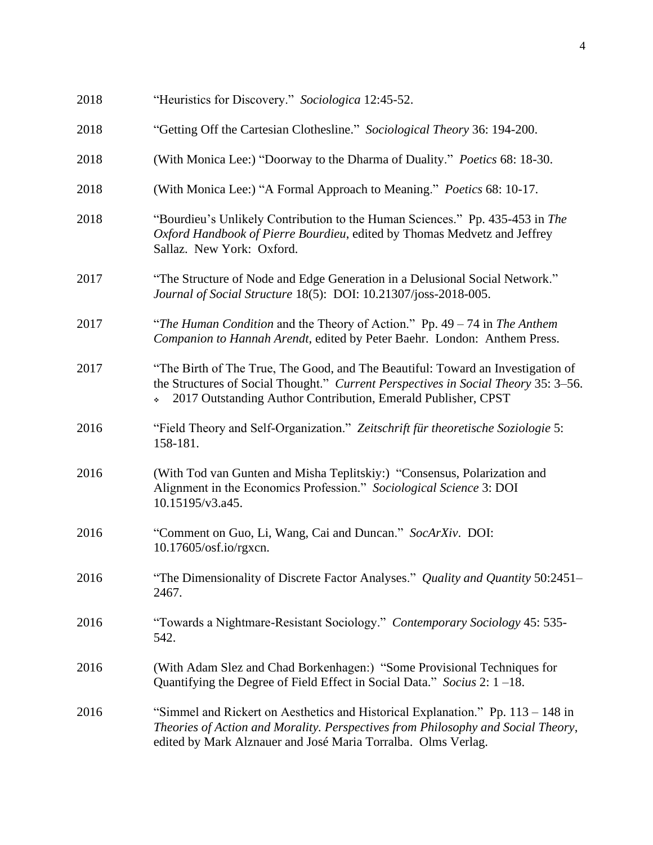| 2018 | "Heuristics for Discovery." Sociologica 12:45-52.                                                                                                                                                                                      |
|------|----------------------------------------------------------------------------------------------------------------------------------------------------------------------------------------------------------------------------------------|
| 2018 | "Getting Off the Cartesian Clothesline." Sociological Theory 36: 194-200.                                                                                                                                                              |
| 2018 | (With Monica Lee:) "Doorway to the Dharma of Duality." Poetics 68: 18-30.                                                                                                                                                              |
| 2018 | (With Monica Lee:) "A Formal Approach to Meaning." Poetics 68: 10-17.                                                                                                                                                                  |
| 2018 | "Bourdieu's Unlikely Contribution to the Human Sciences." Pp. 435-453 in The<br>Oxford Handbook of Pierre Bourdieu, edited by Thomas Medvetz and Jeffrey<br>Sallaz. New York: Oxford.                                                  |
| 2017 | "The Structure of Node and Edge Generation in a Delusional Social Network."<br>Journal of Social Structure 18(5): DOI: 10.21307/joss-2018-005.                                                                                         |
| 2017 | "The Human Condition and the Theory of Action." Pp. $49 - 74$ in The Anthem<br>Companion to Hannah Arendt, edited by Peter Baehr. London: Anthem Press.                                                                                |
| 2017 | "The Birth of The True, The Good, and The Beautiful: Toward an Investigation of<br>the Structures of Social Thought." Current Perspectives in Social Theory 35: 3–56.<br>2017 Outstanding Author Contribution, Emerald Publisher, CPST |
| 2016 | "Field Theory and Self-Organization." Zeitschrift für theoretische Soziologie 5:<br>158-181.                                                                                                                                           |
| 2016 | (With Tod van Gunten and Misha Teplitskiy:) "Consensus, Polarization and<br>Alignment in the Economics Profession." Sociological Science 3: DOI<br>10.15195/v3.a45.                                                                    |
| 2016 | "Comment on Guo, Li, Wang, Cai and Duncan." SocArXiv. DOI:<br>10.17605/osf.io/rgxcn.                                                                                                                                                   |
| 2016 | "The Dimensionality of Discrete Factor Analyses." Quality and Quantity 50:2451-<br>2467.                                                                                                                                               |
| 2016 | "Towards a Nightmare-Resistant Sociology." Contemporary Sociology 45: 535-<br>542.                                                                                                                                                     |
| 2016 | (With Adam Slez and Chad Borkenhagen:) "Some Provisional Techniques for<br>Quantifying the Degree of Field Effect in Social Data." Socius 2: $1 - 18$ .                                                                                |
| 2016 | "Simmel and Rickert on Aesthetics and Historical Explanation." Pp. 113 – 148 in<br>Theories of Action and Morality. Perspectives from Philosophy and Social Theory,<br>edited by Mark Alznauer and José Maria Torralba. Olms Verlag.   |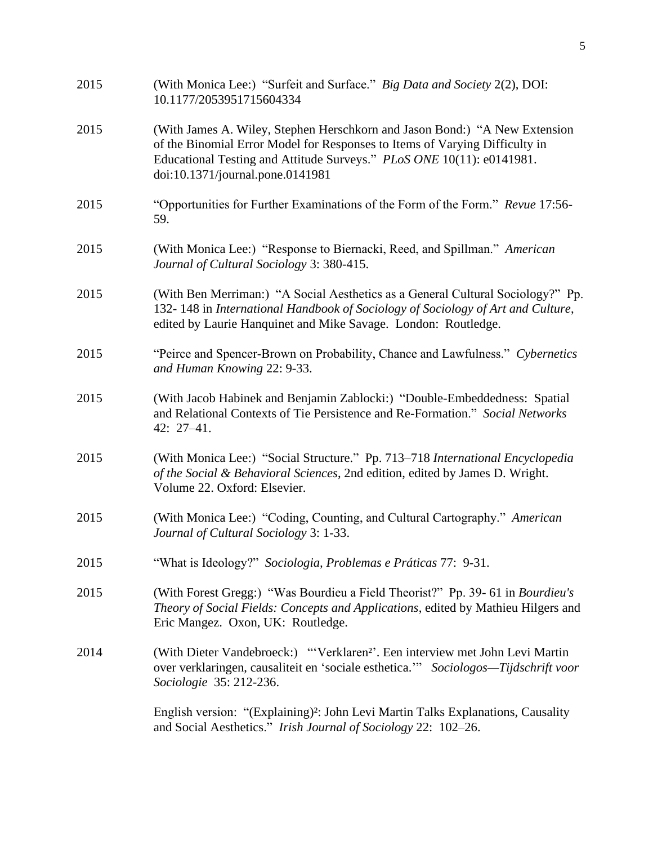| 2015 | (With Monica Lee:) "Surfeit and Surface." Big Data and Society 2(2), DOI:<br>10.1177/2053951715604334                                                                                                                                                                  |
|------|------------------------------------------------------------------------------------------------------------------------------------------------------------------------------------------------------------------------------------------------------------------------|
| 2015 | (With James A. Wiley, Stephen Herschkorn and Jason Bond:) "A New Extension<br>of the Binomial Error Model for Responses to Items of Varying Difficulty in<br>Educational Testing and Attitude Surveys." PLoS ONE 10(11): e0141981.<br>doi:10.1371/journal.pone.0141981 |
| 2015 | "Opportunities for Further Examinations of the Form of the Form." Revue 17:56-<br>59.                                                                                                                                                                                  |
| 2015 | (With Monica Lee:) "Response to Biernacki, Reed, and Spillman." American<br>Journal of Cultural Sociology 3: 380-415.                                                                                                                                                  |
| 2015 | (With Ben Merriman:) "A Social Aesthetics as a General Cultural Sociology?" Pp.<br>132-148 in International Handbook of Sociology of Sociology of Art and Culture,<br>edited by Laurie Hanquinet and Mike Savage. London: Routledge.                                   |
| 2015 | "Peirce and Spencer-Brown on Probability, Chance and Lawfulness." Cybernetics<br>and Human Knowing 22: 9-33.                                                                                                                                                           |
| 2015 | (With Jacob Habinek and Benjamin Zablocki:) "Double-Embeddedness: Spatial<br>and Relational Contexts of Tie Persistence and Re-Formation." Social Networks<br>42: 27-41.                                                                                               |
| 2015 | (With Monica Lee:) "Social Structure." Pp. 713–718 International Encyclopedia<br>of the Social & Behavioral Sciences, 2nd edition, edited by James D. Wright.<br>Volume 22. Oxford: Elsevier.                                                                          |
| 2015 | (With Monica Lee:) "Coding, Counting, and Cultural Cartography." American<br>Journal of Cultural Sociology 3: 1-33.                                                                                                                                                    |
| 2015 | "What is Ideology?" Sociologia, Problemas e Práticas 77: 9-31.                                                                                                                                                                                                         |
| 2015 | (With Forest Gregg:) "Was Bourdieu a Field Theorist?" Pp. 39- 61 in Bourdieu's<br>Theory of Social Fields: Concepts and Applications, edited by Mathieu Hilgers and<br>Eric Mangez. Oxon, UK: Routledge.                                                               |
| 2014 | (With Dieter Vandebroeck:) "'Verklaren <sup>2</sup> '. Een interview met John Levi Martin<br>over verklaringen, causaliteit en 'sociale esthetica." Sociologos—Tijdschrift voor<br>Sociologie 35: 212-236.                                                             |
|      | English version: "(Explaining)?: John Levi Martin Talks Explanations, Causality<br>and Social Aesthetics." Irish Journal of Sociology 22: 102–26.                                                                                                                      |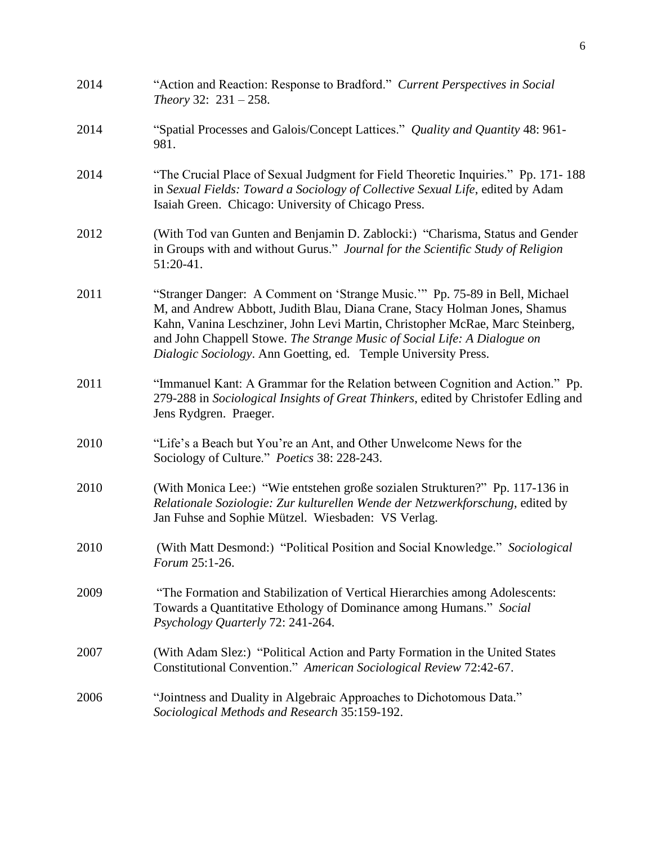| 2014 | "Action and Reaction: Response to Bradford." Current Perspectives in Social<br>Theory 32: $231 - 258$ .                                                                                                                                                                                                                                                                                 |
|------|-----------------------------------------------------------------------------------------------------------------------------------------------------------------------------------------------------------------------------------------------------------------------------------------------------------------------------------------------------------------------------------------|
| 2014 | "Spatial Processes and Galois/Concept Lattices." Quality and Quantity 48: 961-<br>981.                                                                                                                                                                                                                                                                                                  |
| 2014 | "The Crucial Place of Sexual Judgment for Field Theoretic Inquiries." Pp. 171-188<br>in Sexual Fields: Toward a Sociology of Collective Sexual Life, edited by Adam<br>Isaiah Green. Chicago: University of Chicago Press.                                                                                                                                                              |
| 2012 | (With Tod van Gunten and Benjamin D. Zablocki:) "Charisma, Status and Gender<br>in Groups with and without Gurus." Journal for the Scientific Study of Religion<br>51:20-41.                                                                                                                                                                                                            |
| 2011 | "Stranger Danger: A Comment on 'Strange Music." Pp. 75-89 in Bell, Michael<br>M, and Andrew Abbott, Judith Blau, Diana Crane, Stacy Holman Jones, Shamus<br>Kahn, Vanina Leschziner, John Levi Martin, Christopher McRae, Marc Steinberg,<br>and John Chappell Stowe. The Strange Music of Social Life: A Dialogue on<br>Dialogic Sociology. Ann Goetting, ed. Temple University Press. |
| 2011 | "Immanuel Kant: A Grammar for the Relation between Cognition and Action." Pp.<br>279-288 in Sociological Insights of Great Thinkers, edited by Christofer Edling and<br>Jens Rydgren. Praeger.                                                                                                                                                                                          |
| 2010 | "Life's a Beach but You're an Ant, and Other Unwelcome News for the<br>Sociology of Culture." Poetics 38: 228-243.                                                                                                                                                                                                                                                                      |
| 2010 | (With Monica Lee:) "Wie entstehen große sozialen Strukturen?" Pp. 117-136 in<br>Relationale Soziologie: Zur kulturellen Wende der Netzwerkforschung, edited by<br>Jan Fuhse and Sophie Mützel. Wiesbaden: VS Verlag.                                                                                                                                                                    |
| 2010 | (With Matt Desmond:) "Political Position and Social Knowledge." Sociological<br>Forum 25:1-26.                                                                                                                                                                                                                                                                                          |
| 2009 | "The Formation and Stabilization of Vertical Hierarchies among Adolescents:<br>Towards a Quantitative Ethology of Dominance among Humans." Social<br>Psychology Quarterly 72: 241-264.                                                                                                                                                                                                  |
| 2007 | (With Adam Slez:) "Political Action and Party Formation in the United States<br>Constitutional Convention." American Sociological Review 72:42-67.                                                                                                                                                                                                                                      |
| 2006 | "Jointness and Duality in Algebraic Approaches to Dichotomous Data."<br>Sociological Methods and Research 35:159-192.                                                                                                                                                                                                                                                                   |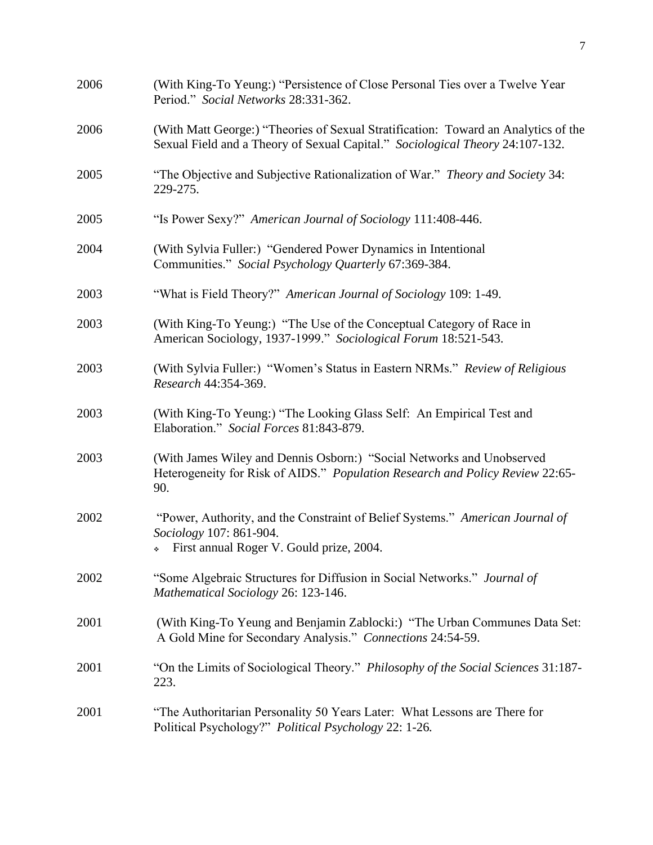| 2006 | (With King-To Yeung:) "Persistence of Close Personal Ties over a Twelve Year<br>Period." Social Networks 28:331-362.                                                |
|------|---------------------------------------------------------------------------------------------------------------------------------------------------------------------|
| 2006 | (With Matt George:) "Theories of Sexual Stratification: Toward an Analytics of the<br>Sexual Field and a Theory of Sexual Capital." Sociological Theory 24:107-132. |
| 2005 | "The Objective and Subjective Rationalization of War." <i>Theory and Society</i> 34:<br>229-275.                                                                    |
| 2005 | "Is Power Sexy?" American Journal of Sociology 111:408-446.                                                                                                         |
| 2004 | (With Sylvia Fuller:) "Gendered Power Dynamics in Intentional<br>Communities." Social Psychology Quarterly 67:369-384.                                              |
| 2003 | "What is Field Theory?" American Journal of Sociology 109: 1-49.                                                                                                    |
| 2003 | (With King-To Yeung:) "The Use of the Conceptual Category of Race in<br>American Sociology, 1937-1999." Sociological Forum 18:521-543.                              |
| 2003 | (With Sylvia Fuller:) "Women's Status in Eastern NRMs." Review of Religious<br>Research 44:354-369.                                                                 |
| 2003 | (With King-To Yeung:) "The Looking Glass Self: An Empirical Test and<br>Elaboration." Social Forces 81:843-879.                                                     |
| 2003 | (With James Wiley and Dennis Osborn:) "Social Networks and Unobserved<br>Heterogeneity for Risk of AIDS." Population Research and Policy Review 22:65-<br>90.       |
| 2002 | "Power, Authority, and the Constraint of Belief Systems." American Journal of<br>Sociology 107: 861-904.<br>First annual Roger V. Gould prize, 2004.<br>÷           |
| 2002 | "Some Algebraic Structures for Diffusion in Social Networks." Journal of<br>Mathematical Sociology 26: 123-146.                                                     |
| 2001 | (With King-To Yeung and Benjamin Zablocki:) "The Urban Communes Data Set:<br>A Gold Mine for Secondary Analysis." Connections 24:54-59.                             |
| 2001 | "On the Limits of Sociological Theory." Philosophy of the Social Sciences 31:187-<br>223.                                                                           |
| 2001 | "The Authoritarian Personality 50 Years Later: What Lessons are There for<br>Political Psychology?" Political Psychology 22: 1-26.                                  |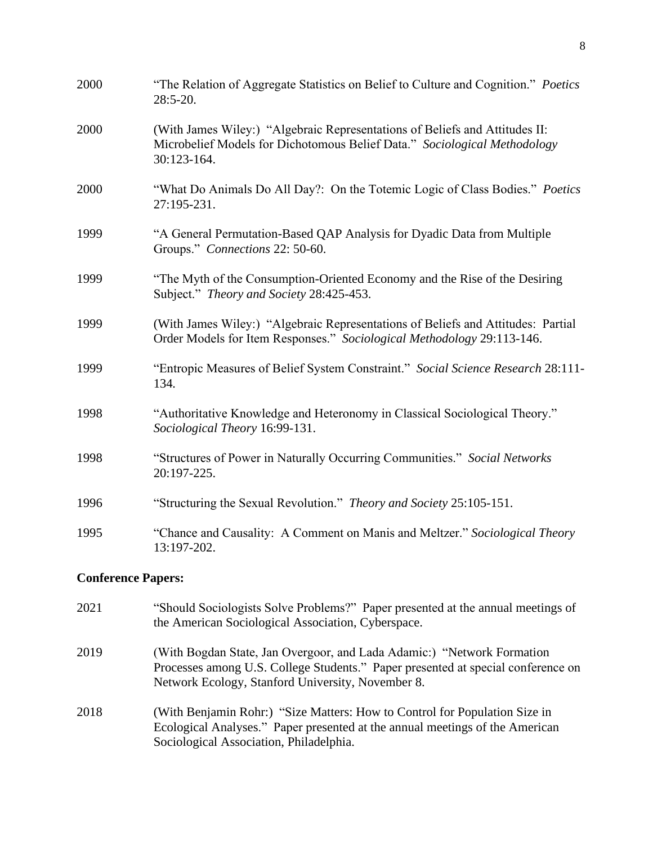| 2000 | "The Relation of Aggregate Statistics on Belief to Culture and Cognition." Poetics<br>28:5-20.                                                                          |
|------|-------------------------------------------------------------------------------------------------------------------------------------------------------------------------|
| 2000 | (With James Wiley:) "Algebraic Representations of Beliefs and Attitudes II:<br>Microbelief Models for Dichotomous Belief Data." Sociological Methodology<br>30:123-164. |
| 2000 | "What Do Animals Do All Day?: On the Totemic Logic of Class Bodies." Poetics<br>27:195-231.                                                                             |
| 1999 | "A General Permutation-Based QAP Analysis for Dyadic Data from Multiple<br>Groups." Connections 22: 50-60.                                                              |
| 1999 | "The Myth of the Consumption-Oriented Economy and the Rise of the Desiring<br>Subject." Theory and Society 28:425-453.                                                  |
| 1999 | (With James Wiley:) "Algebraic Representations of Beliefs and Attitudes: Partial<br>Order Models for Item Responses." Sociological Methodology 29:113-146.              |
| 1999 | "Entropic Measures of Belief System Constraint." Social Science Research 28:111-<br>134.                                                                                |
| 1998 | "Authoritative Knowledge and Heteronomy in Classical Sociological Theory."<br>Sociological Theory 16:99-131.                                                            |
| 1998 | "Structures of Power in Naturally Occurring Communities." Social Networks<br>20:197-225.                                                                                |
| 1996 | "Structuring the Sexual Revolution." Theory and Society 25:105-151.                                                                                                     |
| 1995 | "Chance and Causality: A Comment on Manis and Meltzer." Sociological Theory<br>13:197-202.                                                                              |
|      | <b>Conference Papers:</b>                                                                                                                                               |

2021 "Should Sociologists Solve Problems?" Paper presented at the annual meetings of the American Sociological Association, Cyberspace. 2019 (With Bogdan State, Jan Overgoor, and Lada Adamic:) "Network Formation Processes among U.S. College Students." Paper presented at special conference on Network Ecology, Stanford University, November 8. 2018 (With Benjamin Rohr:) "Size Matters: How to Control for Population Size in Ecological Analyses." Paper presented at the annual meetings of the American Sociological Association, Philadelphia.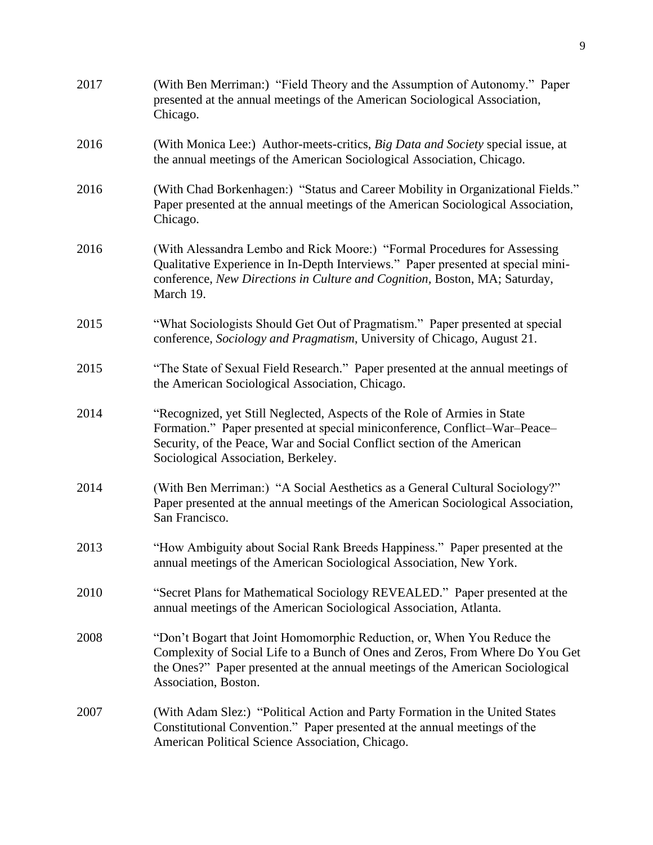| 2017 | (With Ben Merriman:) "Field Theory and the Assumption of Autonomy." Paper<br>presented at the annual meetings of the American Sociological Association,<br>Chicago.                                                                                                      |
|------|--------------------------------------------------------------------------------------------------------------------------------------------------------------------------------------------------------------------------------------------------------------------------|
| 2016 | (With Monica Lee:) Author-meets-critics, Big Data and Society special issue, at<br>the annual meetings of the American Sociological Association, Chicago.                                                                                                                |
| 2016 | (With Chad Borkenhagen:) "Status and Career Mobility in Organizational Fields."<br>Paper presented at the annual meetings of the American Sociological Association,<br>Chicago.                                                                                          |
| 2016 | (With Alessandra Lembo and Rick Moore:) "Formal Procedures for Assessing<br>Qualitative Experience in In-Depth Interviews." Paper presented at special mini-<br>conference, New Directions in Culture and Cognition, Boston, MA; Saturday,<br>March 19.                  |
| 2015 | "What Sociologists Should Get Out of Pragmatism." Paper presented at special<br>conference, Sociology and Pragmatism, University of Chicago, August 21.                                                                                                                  |
| 2015 | "The State of Sexual Field Research." Paper presented at the annual meetings of<br>the American Sociological Association, Chicago.                                                                                                                                       |
| 2014 | "Recognized, yet Still Neglected, Aspects of the Role of Armies in State<br>Formation." Paper presented at special miniconference, Conflict-War-Peace-<br>Security, of the Peace, War and Social Conflict section of the American<br>Sociological Association, Berkeley. |
| 2014 | (With Ben Merriman:) "A Social Aesthetics as a General Cultural Sociology?"<br>Paper presented at the annual meetings of the American Sociological Association,<br>San Francisco.                                                                                        |
| 2013 | "How Ambiguity about Social Rank Breeds Happiness." Paper presented at the<br>annual meetings of the American Sociological Association, New York.                                                                                                                        |
| 2010 | "Secret Plans for Mathematical Sociology REVEALED." Paper presented at the<br>annual meetings of the American Sociological Association, Atlanta.                                                                                                                         |
| 2008 | "Don't Bogart that Joint Homomorphic Reduction, or, When You Reduce the<br>Complexity of Social Life to a Bunch of Ones and Zeros, From Where Do You Get<br>the Ones?" Paper presented at the annual meetings of the American Sociological<br>Association, Boston.       |
| 2007 | (With Adam Slez:) "Political Action and Party Formation in the United States<br>Constitutional Convention." Paper presented at the annual meetings of the<br>American Political Science Association, Chicago.                                                            |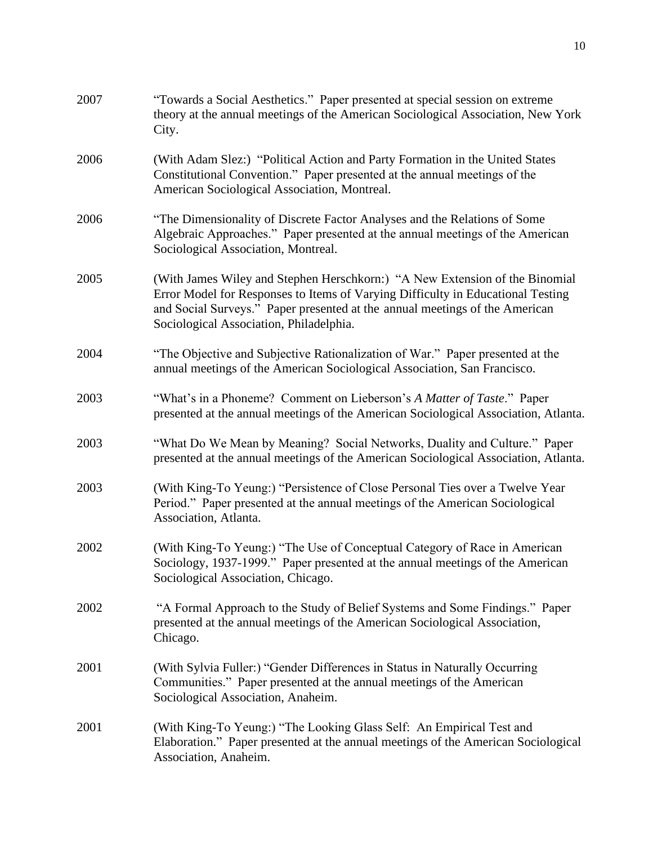| 2007 | "Towards a Social Aesthetics." Paper presented at special session on extreme<br>theory at the annual meetings of the American Sociological Association, New York<br>City.                                                                                                                |
|------|------------------------------------------------------------------------------------------------------------------------------------------------------------------------------------------------------------------------------------------------------------------------------------------|
| 2006 | (With Adam Slez:) "Political Action and Party Formation in the United States<br>Constitutional Convention." Paper presented at the annual meetings of the<br>American Sociological Association, Montreal.                                                                                |
| 2006 | "The Dimensionality of Discrete Factor Analyses and the Relations of Some<br>Algebraic Approaches." Paper presented at the annual meetings of the American<br>Sociological Association, Montreal.                                                                                        |
| 2005 | (With James Wiley and Stephen Herschkorn:) "A New Extension of the Binomial<br>Error Model for Responses to Items of Varying Difficulty in Educational Testing<br>and Social Surveys." Paper presented at the annual meetings of the American<br>Sociological Association, Philadelphia. |
| 2004 | "The Objective and Subjective Rationalization of War." Paper presented at the<br>annual meetings of the American Sociological Association, San Francisco.                                                                                                                                |
| 2003 | "What's in a Phoneme? Comment on Lieberson's A Matter of Taste." Paper<br>presented at the annual meetings of the American Sociological Association, Atlanta.                                                                                                                            |
| 2003 | "What Do We Mean by Meaning? Social Networks, Duality and Culture." Paper<br>presented at the annual meetings of the American Sociological Association, Atlanta.                                                                                                                         |
| 2003 | (With King-To Yeung:) "Persistence of Close Personal Ties over a Twelve Year<br>Period." Paper presented at the annual meetings of the American Sociological<br>Association, Atlanta.                                                                                                    |
| 2002 | (With King-To Yeung:) "The Use of Conceptual Category of Race in American<br>Sociology, 1937-1999." Paper presented at the annual meetings of the American<br>Sociological Association, Chicago.                                                                                         |
| 2002 | "A Formal Approach to the Study of Belief Systems and Some Findings." Paper<br>presented at the annual meetings of the American Sociological Association,<br>Chicago.                                                                                                                    |
| 2001 | (With Sylvia Fuller:) "Gender Differences in Status in Naturally Occurring<br>Communities." Paper presented at the annual meetings of the American<br>Sociological Association, Anaheim.                                                                                                 |
| 2001 | (With King-To Yeung:) "The Looking Glass Self: An Empirical Test and<br>Elaboration." Paper presented at the annual meetings of the American Sociological<br>Association, Anaheim.                                                                                                       |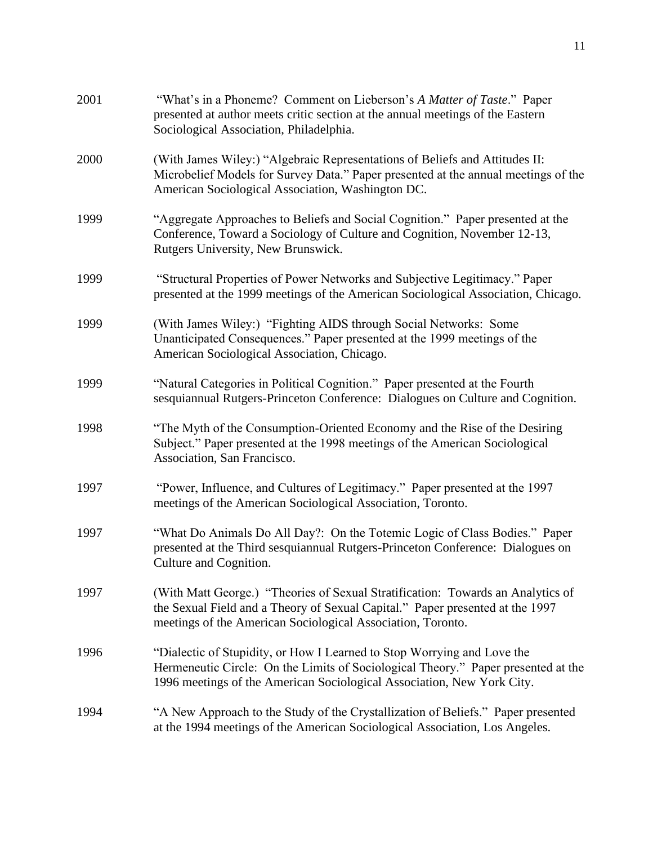| 2001 | "What's in a Phoneme? Comment on Lieberson's A Matter of Taste." Paper<br>presented at author meets critic section at the annual meetings of the Eastern<br>Sociological Association, Philadelphia.                                    |
|------|----------------------------------------------------------------------------------------------------------------------------------------------------------------------------------------------------------------------------------------|
| 2000 | (With James Wiley:) "Algebraic Representations of Beliefs and Attitudes II:<br>Microbelief Models for Survey Data." Paper presented at the annual meetings of the<br>American Sociological Association, Washington DC.                 |
| 1999 | "Aggregate Approaches to Beliefs and Social Cognition." Paper presented at the<br>Conference, Toward a Sociology of Culture and Cognition, November 12-13,<br>Rutgers University, New Brunswick.                                       |
| 1999 | "Structural Properties of Power Networks and Subjective Legitimacy." Paper<br>presented at the 1999 meetings of the American Sociological Association, Chicago.                                                                        |
| 1999 | (With James Wiley:) "Fighting AIDS through Social Networks: Some<br>Unanticipated Consequences." Paper presented at the 1999 meetings of the<br>American Sociological Association, Chicago.                                            |
| 1999 | "Natural Categories in Political Cognition." Paper presented at the Fourth<br>sesquiannual Rutgers-Princeton Conference: Dialogues on Culture and Cognition.                                                                           |
| 1998 | "The Myth of the Consumption-Oriented Economy and the Rise of the Desiring<br>Subject." Paper presented at the 1998 meetings of the American Sociological<br>Association, San Francisco.                                               |
| 1997 | "Power, Influence, and Cultures of Legitimacy." Paper presented at the 1997<br>meetings of the American Sociological Association, Toronto.                                                                                             |
| 1997 | "What Do Animals Do All Day?: On the Totemic Logic of Class Bodies." Paper<br>presented at the Third sesquiannual Rutgers-Princeton Conference: Dialogues on<br>Culture and Cognition.                                                 |
| 1997 | (With Matt George.) "Theories of Sexual Stratification: Towards an Analytics of<br>the Sexual Field and a Theory of Sexual Capital." Paper presented at the 1997<br>meetings of the American Sociological Association, Toronto.        |
| 1996 | "Dialectic of Stupidity, or How I Learned to Stop Worrying and Love the<br>Hermeneutic Circle: On the Limits of Sociological Theory." Paper presented at the<br>1996 meetings of the American Sociological Association, New York City. |
| 1994 | "A New Approach to the Study of the Crystallization of Beliefs." Paper presented<br>at the 1994 meetings of the American Sociological Association, Los Angeles.                                                                        |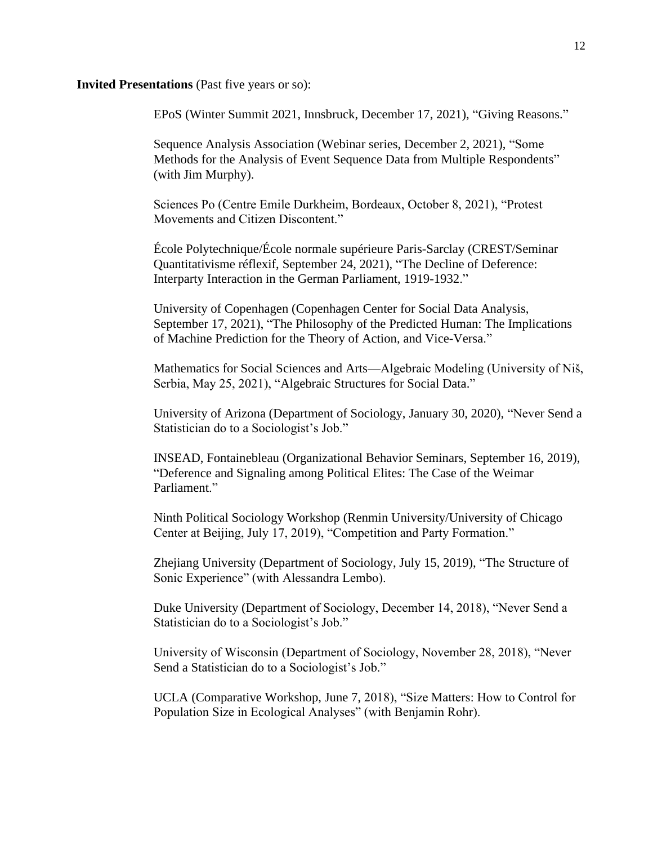#### **Invited Presentations** (Past five years or so):

EPoS (Winter Summit 2021, Innsbruck, December 17, 2021), "Giving Reasons."

Sequence Analysis Association (Webinar series, December 2, 2021), "Some Methods for the Analysis of Event Sequence Data from Multiple Respondents" (with Jim Murphy).

Sciences Po (Centre Emile Durkheim, Bordeaux, October 8, 2021), "Protest Movements and Citizen Discontent."

École Polytechnique/École normale supérieure Paris-Sarclay (CREST/Seminar Quantitativisme réflexif, September 24, 2021), "The Decline of Deference: Interparty Interaction in the German Parliament, 1919-1932."

University of Copenhagen (Copenhagen Center for Social Data Analysis, September 17, 2021), "The Philosophy of the Predicted Human: The Implications of Machine Prediction for the Theory of Action, and Vice-Versa."

Mathematics for Social Sciences and Arts—Algebraic Modeling (University of Niš, Serbia, May 25, 2021), "Algebraic Structures for Social Data."

University of Arizona (Department of Sociology, January 30, 2020), "Never Send a Statistician do to a Sociologist's Job."

INSEAD, Fontainebleau (Organizational Behavior Seminars, September 16, 2019), "Deference and Signaling among Political Elites: The Case of the Weimar Parliament."

Ninth Political Sociology Workshop (Renmin University/University of Chicago Center at Beijing, July 17, 2019), "Competition and Party Formation."

Zhejiang University (Department of Sociology, July 15, 2019), "The Structure of Sonic Experience" (with Alessandra Lembo).

Duke University (Department of Sociology, December 14, 2018), "Never Send a Statistician do to a Sociologist's Job."

University of Wisconsin (Department of Sociology, November 28, 2018), "Never Send a Statistician do to a Sociologist's Job."

UCLA (Comparative Workshop, June 7, 2018), "Size Matters: How to Control for Population Size in Ecological Analyses" (with Benjamin Rohr).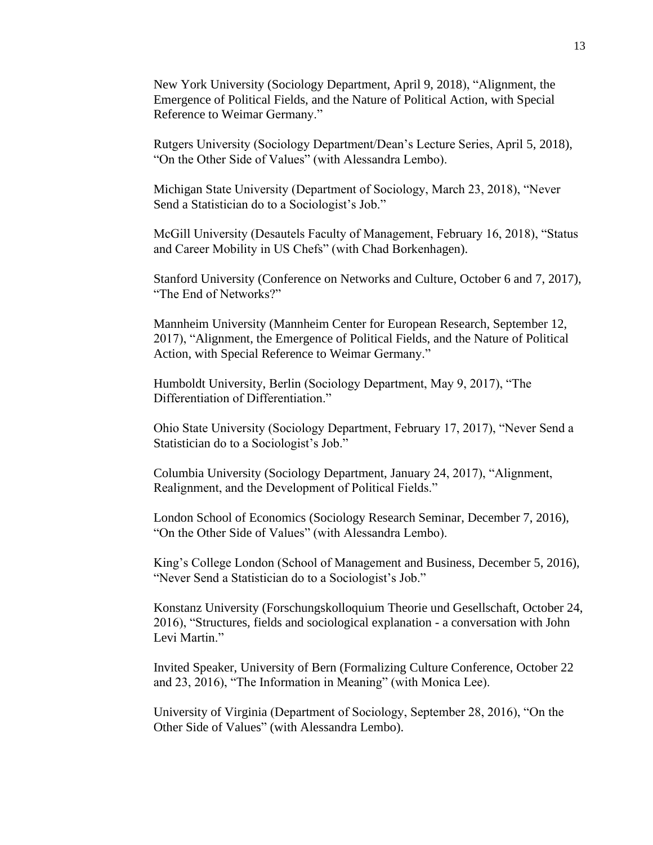New York University (Sociology Department, April 9, 2018), "Alignment, the Emergence of Political Fields, and the Nature of Political Action, with Special Reference to Weimar Germany."

Rutgers University (Sociology Department/Dean's Lecture Series, April 5, 2018), "On the Other Side of Values" (with Alessandra Lembo).

Michigan State University (Department of Sociology, March 23, 2018), "Never Send a Statistician do to a Sociologist's Job."

McGill University (Desautels Faculty of Management, February 16, 2018), "Status and Career Mobility in US Chefs" (with Chad Borkenhagen).

Stanford University (Conference on Networks and Culture, October 6 and 7, 2017), "The End of Networks?"

Mannheim University (Mannheim Center for European Research, September 12, 2017), "Alignment, the Emergence of Political Fields, and the Nature of Political Action, with Special Reference to Weimar Germany."

Humboldt University, Berlin (Sociology Department, May 9, 2017), "The Differentiation of Differentiation."

Ohio State University (Sociology Department, February 17, 2017), "Never Send a Statistician do to a Sociologist's Job."

Columbia University (Sociology Department, January 24, 2017), "Alignment, Realignment, and the Development of Political Fields."

London School of Economics (Sociology Research Seminar, December 7, 2016), "On the Other Side of Values" (with Alessandra Lembo).

King's College London (School of Management and Business, December 5, 2016), "Never Send a Statistician do to a Sociologist's Job."

Konstanz University (Forschungskolloquium Theorie und Gesellschaft, October 24, 2016), "Structures, fields and sociological explanation - a conversation with John Levi Martin."

Invited Speaker, University of Bern (Formalizing Culture Conference, October 22 and 23, 2016), "The Information in Meaning" (with Monica Lee).

University of Virginia (Department of Sociology, September 28, 2016), "On the Other Side of Values" (with Alessandra Lembo).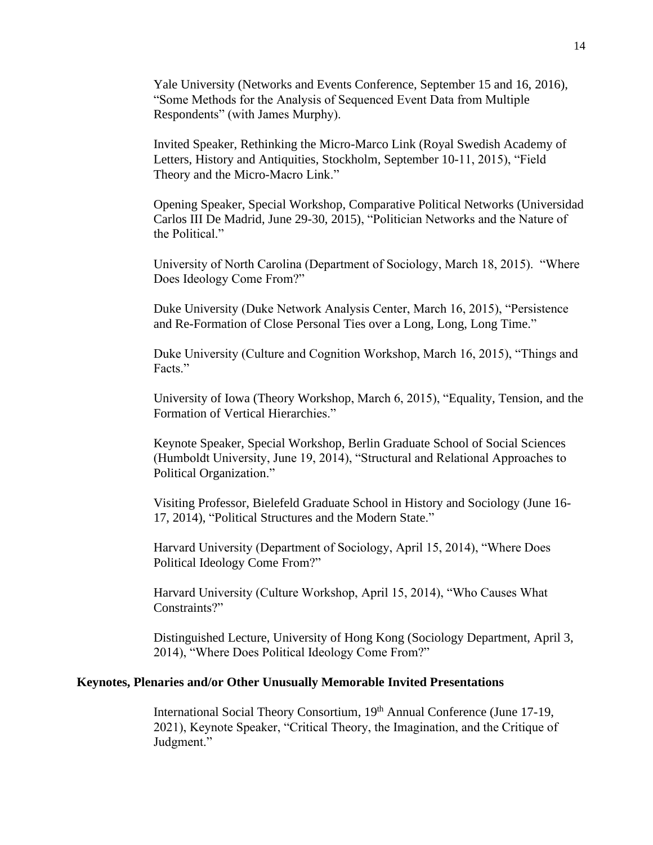Yale University (Networks and Events Conference, September 15 and 16, 2016), "Some Methods for the Analysis of Sequenced Event Data from Multiple Respondents" (with James Murphy).

Invited Speaker, Rethinking the Micro-Marco Link (Royal Swedish Academy of Letters, History and Antiquities, Stockholm, September 10-11, 2015), "Field Theory and the Micro-Macro Link."

Opening Speaker, Special Workshop, Comparative Political Networks (Universidad Carlos III De Madrid, June 29-30, 2015), "Politician Networks and the Nature of the Political."

University of North Carolina (Department of Sociology, March 18, 2015). "Where Does Ideology Come From?"

Duke University (Duke Network Analysis Center, March 16, 2015), "Persistence and Re-Formation of Close Personal Ties over a Long, Long, Long Time."

Duke University (Culture and Cognition Workshop, March 16, 2015), "Things and Facts."

University of Iowa (Theory Workshop, March 6, 2015), "Equality, Tension, and the Formation of Vertical Hierarchies."

Keynote Speaker, Special Workshop, Berlin Graduate School of Social Sciences (Humboldt University, June 19, 2014), "Structural and Relational Approaches to Political Organization."

Visiting Professor, Bielefeld Graduate School in History and Sociology (June 16- 17, 2014), "Political Structures and the Modern State."

Harvard University (Department of Sociology, April 15, 2014), "Where Does Political Ideology Come From?"

Harvard University (Culture Workshop, April 15, 2014), "Who Causes What Constraints?"

Distinguished Lecture, University of Hong Kong (Sociology Department, April 3, 2014), "Where Does Political Ideology Come From?"

## **Keynotes, Plenaries and/or Other Unusually Memorable Invited Presentations**

International Social Theory Consortium, 19<sup>th</sup> Annual Conference (June 17-19, 2021), Keynote Speaker, "Critical Theory, the Imagination, and the Critique of Judgment."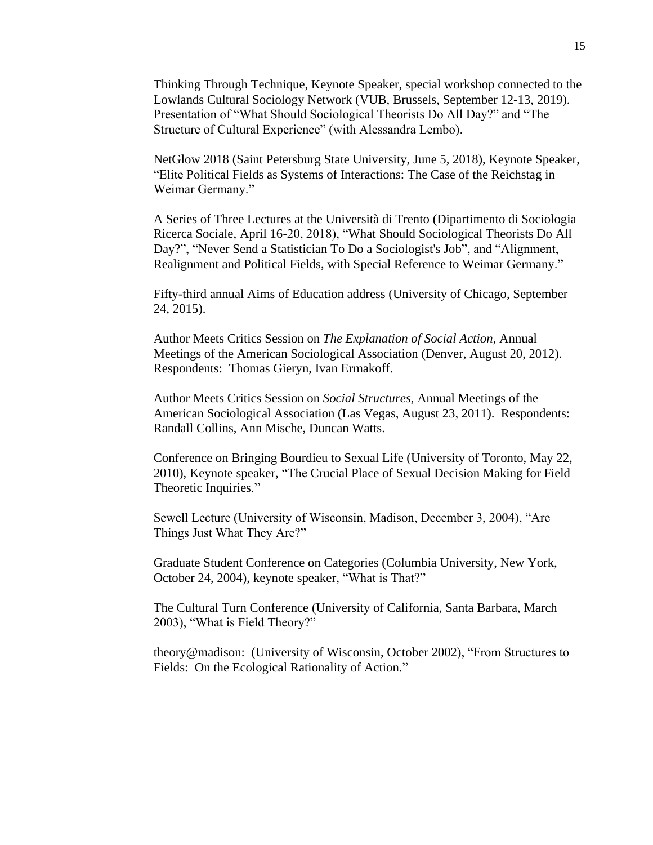Thinking Through Technique, Keynote Speaker, special workshop connected to the Lowlands Cultural Sociology Network (VUB, Brussels, September 12-13, 2019). Presentation of "What Should Sociological Theorists Do All Day?" and "The Structure of Cultural Experience" (with Alessandra Lembo).

NetGlow 2018 (Saint Petersburg State University, June 5, 2018), Keynote Speaker, "Elite Political Fields as Systems of Interactions: The Case of the Reichstag in Weimar Germany."

A Series of Three Lectures at the Università di Trento (Dipartimento di Sociologia Ricerca Sociale, April 16-20, 2018), "What Should Sociological Theorists Do All Day?", "Never Send a Statistician To Do a Sociologist's Job", and "Alignment, Realignment and Political Fields, with Special Reference to Weimar Germany."

Fifty-third annual Aims of Education address (University of Chicago, September 24, 2015).

Author Meets Critics Session on *The Explanation of Social Action*, Annual Meetings of the American Sociological Association (Denver, August 20, 2012). Respondents: Thomas Gieryn, Ivan Ermakoff.

Author Meets Critics Session on *Social Structures*, Annual Meetings of the American Sociological Association (Las Vegas, August 23, 2011). Respondents: Randall Collins, Ann Mische, Duncan Watts.

Conference on Bringing Bourdieu to Sexual Life (University of Toronto, May 22, 2010), Keynote speaker, "The Crucial Place of Sexual Decision Making for Field Theoretic Inquiries."

Sewell Lecture (University of Wisconsin, Madison, December 3, 2004), "Are Things Just What They Are?"

Graduate Student Conference on Categories (Columbia University, New York, October 24, 2004), keynote speaker, "What is That?"

The Cultural Turn Conference (University of California, Santa Barbara, March 2003), "What is Field Theory?"

theory@madison: (University of Wisconsin, October 2002), "From Structures to Fields: On the Ecological Rationality of Action."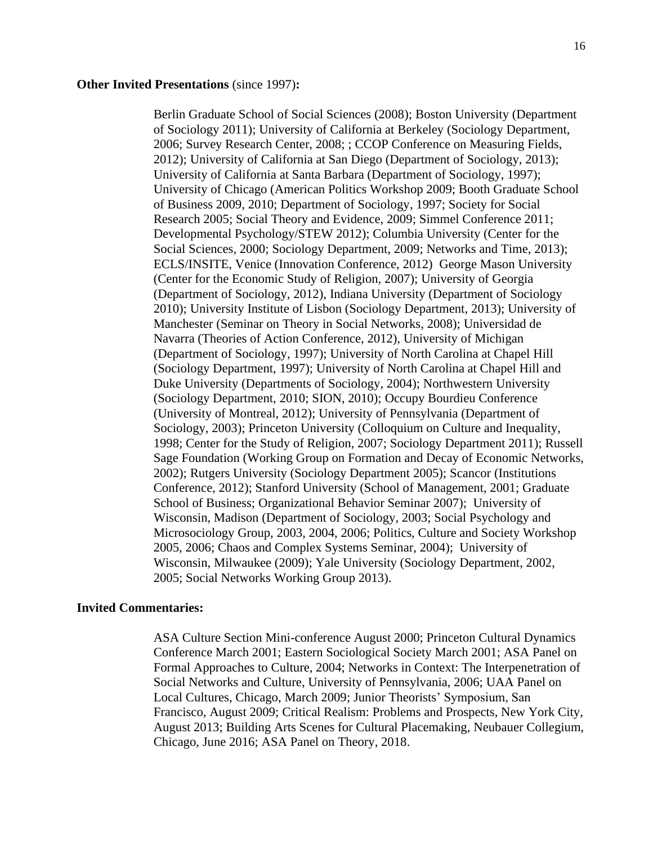### **Other Invited Presentations** (since 1997)**:**

Berlin Graduate School of Social Sciences (2008); Boston University (Department of Sociology 2011); University of California at Berkeley (Sociology Department, 2006; Survey Research Center, 2008; ; CCOP Conference on Measuring Fields, 2012); University of California at San Diego (Department of Sociology, 2013); University of California at Santa Barbara (Department of Sociology, 1997); University of Chicago (American Politics Workshop 2009; Booth Graduate School of Business 2009, 2010; Department of Sociology, 1997; Society for Social Research 2005; Social Theory and Evidence, 2009; Simmel Conference 2011; Developmental Psychology/STEW 2012); Columbia University (Center for the Social Sciences, 2000; Sociology Department, 2009; Networks and Time, 2013); ECLS/INSITE, Venice (Innovation Conference, 2012) George Mason University (Center for the Economic Study of Religion, 2007); University of Georgia (Department of Sociology, 2012), Indiana University (Department of Sociology 2010); University Institute of Lisbon (Sociology Department, 2013); University of Manchester (Seminar on Theory in Social Networks, 2008); Universidad de Navarra (Theories of Action Conference, 2012), University of Michigan (Department of Sociology, 1997); University of North Carolina at Chapel Hill (Sociology Department, 1997); University of North Carolina at Chapel Hill and Duke University (Departments of Sociology, 2004); Northwestern University (Sociology Department, 2010; SION, 2010); Occupy Bourdieu Conference (University of Montreal, 2012); University of Pennsylvania (Department of Sociology, 2003); Princeton University (Colloquium on Culture and Inequality, 1998; Center for the Study of Religion, 2007; Sociology Department 2011); Russell Sage Foundation (Working Group on Formation and Decay of Economic Networks, 2002); Rutgers University (Sociology Department 2005); Scancor (Institutions Conference, 2012); Stanford University (School of Management, 2001; Graduate School of Business; Organizational Behavior Seminar 2007); University of Wisconsin, Madison (Department of Sociology, 2003; Social Psychology and Microsociology Group, 2003, 2004, 2006; Politics, Culture and Society Workshop 2005, 2006; Chaos and Complex Systems Seminar, 2004); University of Wisconsin, Milwaukee (2009); Yale University (Sociology Department, 2002, 2005; Social Networks Working Group 2013).

#### **Invited Commentaries:**

ASA Culture Section Mini-conference August 2000; Princeton Cultural Dynamics Conference March 2001; Eastern Sociological Society March 2001; ASA Panel on Formal Approaches to Culture, 2004; Networks in Context: The Interpenetration of Social Networks and Culture, University of Pennsylvania, 2006; UAA Panel on Local Cultures, Chicago, March 2009; Junior Theorists' Symposium, San Francisco, August 2009; Critical Realism: Problems and Prospects, New York City, August 2013; Building Arts Scenes for Cultural Placemaking, Neubauer Collegium, Chicago, June 2016; ASA Panel on Theory, 2018.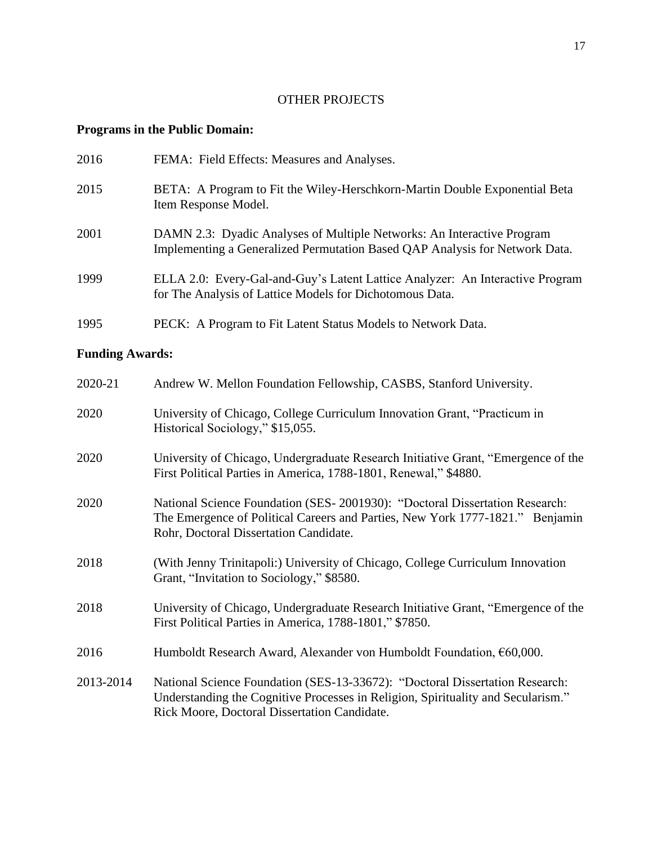# OTHER PROJECTS

# **Programs in the Public Domain:**

| 2016 | FEMA: Field Effects: Measures and Analyses.                                                                                                           |
|------|-------------------------------------------------------------------------------------------------------------------------------------------------------|
| 2015 | BETA: A Program to Fit the Wiley-Herschkorn-Martin Double Exponential Beta<br>Item Response Model.                                                    |
| 2001 | DAMN 2.3: Dyadic Analyses of Multiple Networks: An Interactive Program<br>Implementing a Generalized Permutation Based QAP Analysis for Network Data. |
| 1999 | ELLA 2.0: Every-Gal-and-Guy's Latent Lattice Analyzer: An Interactive Program<br>for The Analysis of Lattice Models for Dichotomous Data.             |
| 1995 | PECK: A Program to Fit Latent Status Models to Network Data.                                                                                          |

# **Funding Awards:**

| 2020-21   | Andrew W. Mellon Foundation Fellowship, CASBS, Stanford University.                                                                                                                                              |
|-----------|------------------------------------------------------------------------------------------------------------------------------------------------------------------------------------------------------------------|
| 2020      | University of Chicago, College Curriculum Innovation Grant, "Practicum in<br>Historical Sociology," \$15,055.                                                                                                    |
| 2020      | University of Chicago, Undergraduate Research Initiative Grant, "Emergence of the<br>First Political Parties in America, 1788-1801, Renewal," \$4880.                                                            |
| 2020      | National Science Foundation (SES-2001930): "Doctoral Dissertation Research:<br>The Emergence of Political Careers and Parties, New York 1777-1821." Benjamin<br>Rohr, Doctoral Dissertation Candidate.           |
| 2018      | (With Jenny Trinitapoli:) University of Chicago, College Curriculum Innovation<br>Grant, "Invitation to Sociology," \$8580.                                                                                      |
| 2018      | University of Chicago, Undergraduate Research Initiative Grant, "Emergence of the<br>First Political Parties in America, 1788-1801," \$7850.                                                                     |
| 2016      | Humboldt Research Award, Alexander von Humboldt Foundation, €60,000.                                                                                                                                             |
| 2013-2014 | National Science Foundation (SES-13-33672): "Doctoral Dissertation Research:<br>Understanding the Cognitive Processes in Religion, Spirituality and Secularism."<br>Rick Moore, Doctoral Dissertation Candidate. |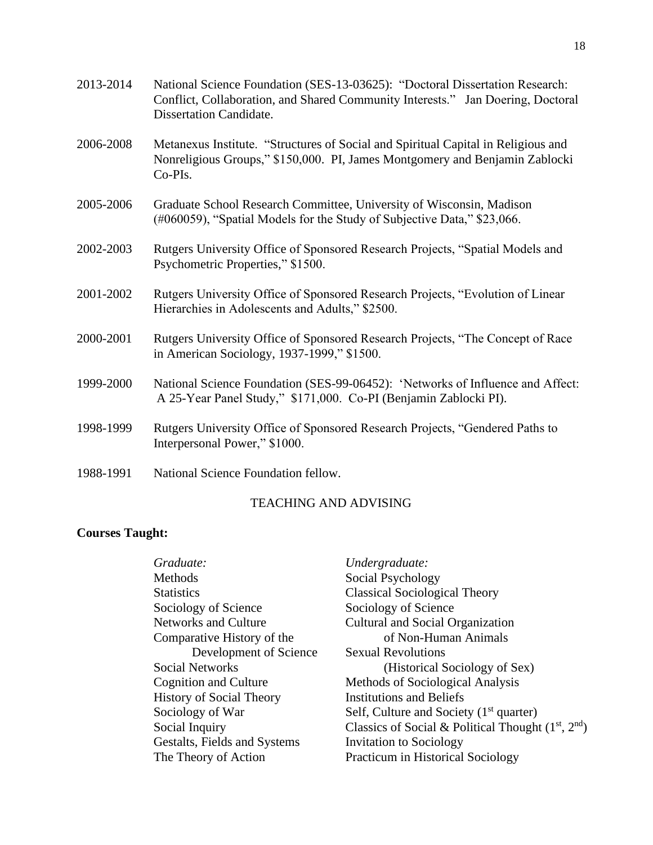| 2013-2014 | National Science Foundation (SES-13-03625): "Doctoral Dissertation Research:<br>Conflict, Collaboration, and Shared Community Interests." Jan Doering, Doctoral<br><b>Dissertation Candidate.</b> |
|-----------|---------------------------------------------------------------------------------------------------------------------------------------------------------------------------------------------------|
| 2006-2008 | Metanexus Institute. "Structures of Social and Spiritual Capital in Religious and<br>Nonreligious Groups," \$150,000. PI, James Montgomery and Benjamin Zablocki<br>Co-PIs.                       |
| 2005-2006 | Graduate School Research Committee, University of Wisconsin, Madison<br>(#060059), "Spatial Models for the Study of Subjective Data," \$23,066.                                                   |
| 2002-2003 | Rutgers University Office of Sponsored Research Projects, "Spatial Models and<br>Psychometric Properties," \$1500.                                                                                |
| 2001-2002 | Rutgers University Office of Sponsored Research Projects, "Evolution of Linear<br>Hierarchies in Adolescents and Adults," \$2500.                                                                 |
| 2000-2001 | Rutgers University Office of Sponsored Research Projects, "The Concept of Race<br>in American Sociology, 1937-1999," \$1500.                                                                      |
| 1999-2000 | National Science Foundation (SES-99-06452): 'Networks of Influence and Affect:<br>A 25-Year Panel Study," \$171,000. Co-PI (Benjamin Zablocki PI).                                                |
| 1998-1999 | Rutgers University Office of Sponsored Research Projects, "Gendered Paths to<br>Interpersonal Power," \$1000.                                                                                     |
| 1988-1991 | National Science Foundation fellow.                                                                                                                                                               |

# TEACHING AND ADVISING

# **Courses Taught:**

| Graduate:                       | Undergraduate:                                      |
|---------------------------------|-----------------------------------------------------|
| Methods                         | Social Psychology                                   |
| <b>Statistics</b>               | <b>Classical Sociological Theory</b>                |
| Sociology of Science            | Sociology of Science                                |
| Networks and Culture            | Cultural and Social Organization                    |
| Comparative History of the      | of Non-Human Animals                                |
| Development of Science          | <b>Sexual Revolutions</b>                           |
| <b>Social Networks</b>          | (Historical Sociology of Sex)                       |
| <b>Cognition and Culture</b>    | Methods of Sociological Analysis                    |
| <b>History of Social Theory</b> | <b>Institutions and Beliefs</b>                     |
| Sociology of War                | Self, Culture and Society $(1st$ quarter)           |
| Social Inquiry                  | Classics of Social & Political Thought $(1st, 2nd)$ |
| Gestalts, Fields and Systems    | <b>Invitation to Sociology</b>                      |
| The Theory of Action            | <b>Practicum in Historical Sociology</b>            |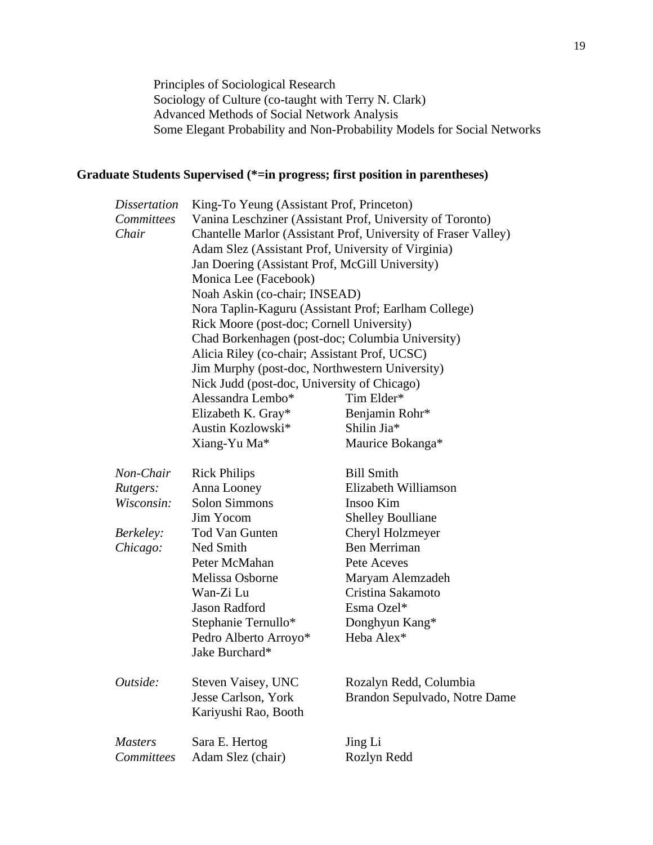Principles of Sociological Research Sociology of Culture (co-taught with Terry N. Clark) Advanced Methods of Social Network Analysis Some Elegant Probability and Non-Probability Models for Social Networks

# **Graduate Students Supervised (\*=in progress; first position in parentheses)**

| King-To Yeung (Assistant Prof, Princeton)                      |                                                                                                                                |  |  |
|----------------------------------------------------------------|--------------------------------------------------------------------------------------------------------------------------------|--|--|
| Vanina Leschziner (Assistant Prof, University of Toronto)      |                                                                                                                                |  |  |
| Chantelle Marlor (Assistant Prof, University of Fraser Valley) |                                                                                                                                |  |  |
| Adam Slez (Assistant Prof, University of Virginia)             |                                                                                                                                |  |  |
| Jan Doering (Assistant Prof, McGill University)                |                                                                                                                                |  |  |
|                                                                |                                                                                                                                |  |  |
| Noah Askin (co-chair; INSEAD)                                  |                                                                                                                                |  |  |
| Nora Taplin-Kaguru (Assistant Prof; Earlham College)           |                                                                                                                                |  |  |
| Rick Moore (post-doc; Cornell University)                      |                                                                                                                                |  |  |
| Chad Borkenhagen (post-doc; Columbia University)               |                                                                                                                                |  |  |
| Alicia Riley (co-chair; Assistant Prof, UCSC)                  |                                                                                                                                |  |  |
| Jim Murphy (post-doc, Northwestern University)                 |                                                                                                                                |  |  |
| Nick Judd (post-doc, University of Chicago)                    |                                                                                                                                |  |  |
| Alessandra Lembo*                                              | Tim Elder*                                                                                                                     |  |  |
|                                                                | Benjamin Rohr*                                                                                                                 |  |  |
| Austin Kozlowski*                                              | Shilin Jia*                                                                                                                    |  |  |
| Xiang-Yu Ma*                                                   | Maurice Bokanga*                                                                                                               |  |  |
|                                                                | <b>Bill Smith</b>                                                                                                              |  |  |
|                                                                | Elizabeth Williamson                                                                                                           |  |  |
| <b>Solon Simmons</b>                                           | Insoo Kim                                                                                                                      |  |  |
| Jim Yocom                                                      | <b>Shelley Boulliane</b>                                                                                                       |  |  |
| <b>Tod Van Gunten</b>                                          | Cheryl Holzmeyer                                                                                                               |  |  |
| Ned Smith                                                      | <b>Ben Merriman</b>                                                                                                            |  |  |
| Peter McMahan                                                  | Pete Aceves                                                                                                                    |  |  |
| Melissa Osborne                                                | Maryam Alemzadeh                                                                                                               |  |  |
| Wan-Zi Lu                                                      | Cristina Sakamoto                                                                                                              |  |  |
| <b>Jason Radford</b>                                           | Esma Ozel*                                                                                                                     |  |  |
|                                                                | Donghyun Kang*                                                                                                                 |  |  |
| Pedro Alberto Arroyo*                                          | Heba Alex*                                                                                                                     |  |  |
| Jake Burchard*                                                 |                                                                                                                                |  |  |
|                                                                | Rozalyn Redd, Columbia                                                                                                         |  |  |
| Jesse Carlson, York                                            | Brandon Sepulvado, Notre Dame                                                                                                  |  |  |
| Kariyushi Rao, Booth                                           |                                                                                                                                |  |  |
| Sara E. Hertog                                                 | Jing Li                                                                                                                        |  |  |
| Adam Slez (chair)                                              | Rozlyn Redd                                                                                                                    |  |  |
|                                                                | Monica Lee (Facebook)<br>Elizabeth K. Gray*<br><b>Rick Philips</b><br>Anna Looney<br>Stephanie Ternullo*<br>Steven Vaisey, UNC |  |  |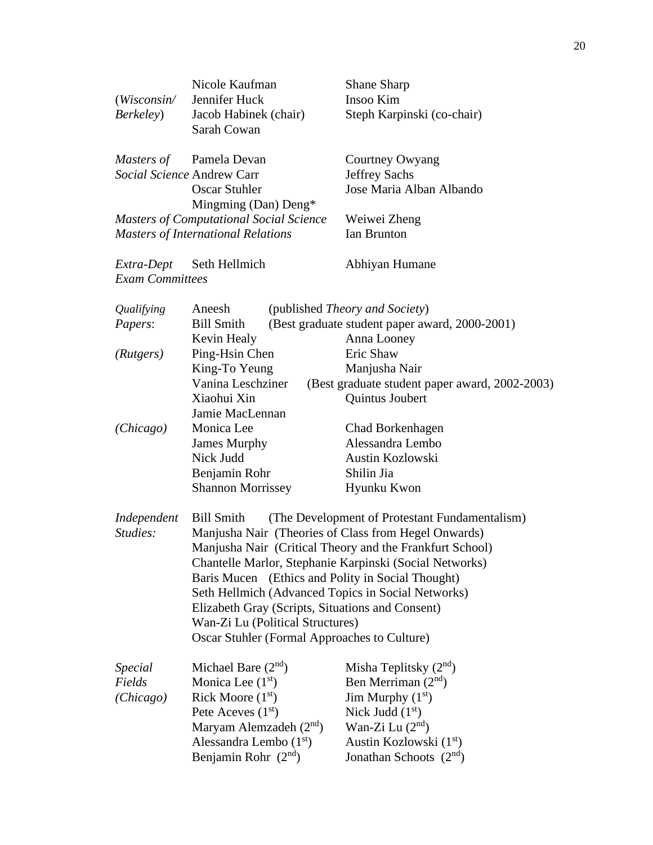| (Wis consin/<br>Berkeley)                | Nicole Kaufman<br>Jennifer Huck<br>Jacob Habinek (chair)<br>Sarah Cowan                                                                                                  |                                  | <b>Shane Sharp</b><br>Insoo Kim<br>Steph Karpinski (co-chair)                                                                                                                                                                                                                                                                                                                                                                                |
|------------------------------------------|--------------------------------------------------------------------------------------------------------------------------------------------------------------------------|----------------------------------|----------------------------------------------------------------------------------------------------------------------------------------------------------------------------------------------------------------------------------------------------------------------------------------------------------------------------------------------------------------------------------------------------------------------------------------------|
| Masters of<br>Social Science Andrew Carr | Pamela Devan<br><b>Oscar Stuhler</b><br>Mingming (Dan) Deng*                                                                                                             |                                  | Courtney Owyang<br><b>Jeffrey Sachs</b><br>Jose Maria Alban Albando                                                                                                                                                                                                                                                                                                                                                                          |
|                                          | <b>Masters of Computational Social Science</b><br><b>Masters of International Relations</b>                                                                              |                                  | Weiwei Zheng<br><b>Ian Brunton</b>                                                                                                                                                                                                                                                                                                                                                                                                           |
| Extra-Dept<br><b>Exam Committees</b>     | Seth Hellmich                                                                                                                                                            |                                  | Abhiyan Humane                                                                                                                                                                                                                                                                                                                                                                                                                               |
| Qualifying<br>Papers:                    | Aneesh<br><b>Bill Smith</b><br>Kevin Healy                                                                                                                               |                                  | (published <i>Theory and Society</i> )<br>(Best graduate student paper award, 2000-2001)<br>Anna Looney                                                                                                                                                                                                                                                                                                                                      |
| (Rutgers)                                | Ping-Hsin Chen<br>King-To Yeung<br>Vanina Leschziner<br>Xiaohui Xin<br>Jamie MacLennan                                                                                   |                                  | Eric Shaw<br>Manjusha Nair<br>(Best graduate student paper award, 2002-2003)<br>Quintus Joubert                                                                                                                                                                                                                                                                                                                                              |
| (Chicago)                                | Monica Lee<br><b>James Murphy</b><br>Nick Judd<br>Benjamin Rohr<br><b>Shannon Morrissey</b>                                                                              |                                  | Chad Borkenhagen<br>Alessandra Lembo<br>Austin Kozlowski<br>Shilin Jia<br>Hyunku Kwon                                                                                                                                                                                                                                                                                                                                                        |
| Independent<br>Studies:                  | <b>Bill Smith</b>                                                                                                                                                        | Wan-Zi Lu (Political Structures) | (The Development of Protestant Fundamentalism)<br>Manjusha Nair (Theories of Class from Hegel Onwards)<br>Manjusha Nair (Critical Theory and the Frankfurt School)<br>Chantelle Marlor, Stephanie Karpinski (Social Networks)<br>Baris Mucen (Ethics and Polity in Social Thought)<br>Seth Hellmich (Advanced Topics in Social Networks)<br>Elizabeth Gray (Scripts, Situations and Consent)<br>Oscar Stuhler (Formal Approaches to Culture) |
| <b>Special</b><br>Fields<br>(Chicago)    | Michael Bare $(2nd)$<br>Monica Lee $(1st)$<br>Rick Moore $(1st)$<br>Pete Aceves $(1st)$<br>Maryam Alemzadeh $(2nd)$<br>Alessandra Lembo $(1st)$<br>Benjamin Rohr $(2nd)$ |                                  | Misha Teplitsky $(2nd)$<br>Ben Merriman (2nd)<br>Jim Murphy $(1st)$<br>Nick Judd $(1st)$<br>Wan-Zi Lu $(2nd)$<br>Austin Kozlowski (1 <sup>st</sup> )<br>Jonathan Schoots $(2nd)$                                                                                                                                                                                                                                                             |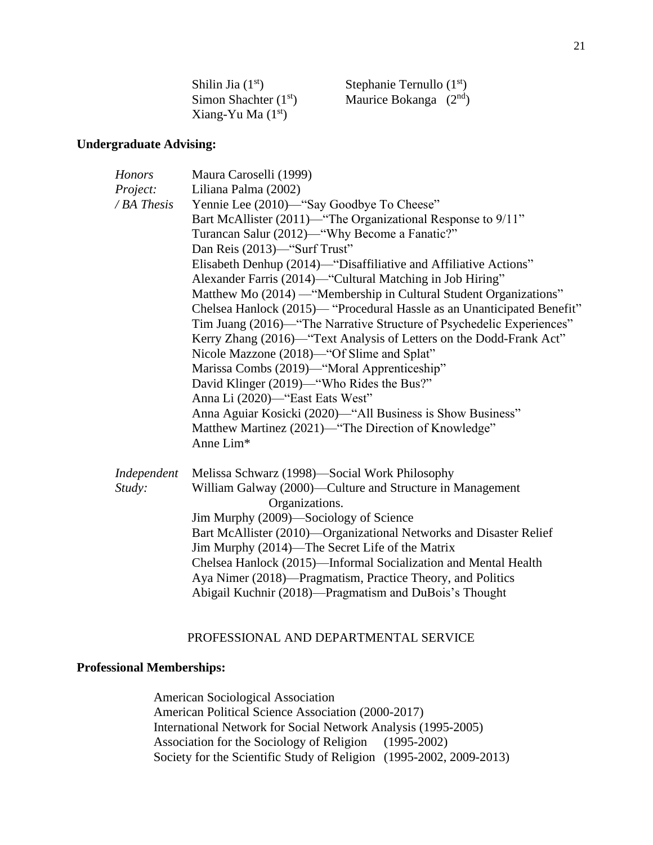| Shilin Jia $(1st)$     | Stephanie Ternullo $(1st)$ |
|------------------------|----------------------------|
| Simon Shachter $(1st)$ | Maurice Bokanga $(2nd)$    |
| Xiang-Yu Ma $(1st)$    |                            |

# **Undergraduate Advising:**

| <b>Honors</b> | Maura Caroselli (1999)                                                  |
|---------------|-------------------------------------------------------------------------|
| Project:      | Liliana Palma (2002)                                                    |
| / BA Thesis   | Yennie Lee (2010)—"Say Goodbye To Cheese"                               |
|               | Bart McAllister (2011)—"The Organizational Response to 9/11"            |
|               | Turancan Salur (2012)—"Why Become a Fanatic?"                           |
|               | Dan Reis (2013)—"Surf Trust"                                            |
|               | Elisabeth Denhup (2014)—"Disaffiliative and Affiliative Actions"        |
|               | Alexander Farris (2014)—"Cultural Matching in Job Hiring"               |
|               | Matthew Mo (2014) — "Membership in Cultural Student Organizations"      |
|               | Chelsea Hanlock (2015)— "Procedural Hassle as an Unanticipated Benefit" |
|               | Tim Juang (2016)—"The Narrative Structure of Psychedelic Experiences"   |
|               | Kerry Zhang (2016)—"Text Analysis of Letters on the Dodd-Frank Act"     |
|               | Nicole Mazzone (2018)—"Of Slime and Splat"                              |
|               | Marissa Combs (2019)—"Moral Apprenticeship"                             |
|               | David Klinger (2019)—"Who Rides the Bus?"                               |
|               | Anna Li (2020)—"East Eats West"                                         |
|               | Anna Aguiar Kosicki (2020)—"All Business is Show Business"              |
|               | Matthew Martinez (2021)—"The Direction of Knowledge"                    |
|               | Anne Lim*                                                               |
|               |                                                                         |
| Independent   | Melissa Schwarz (1998)—Social Work Philosophy                           |
| Study:        | William Galway (2000)—Culture and Structure in Management               |
|               | Organizations.                                                          |
|               | Jim Murphy (2009)-Sociology of Science                                  |
|               | Bart McAllister (2010)—Organizational Networks and Disaster Relief      |
|               | Jim Murphy (2014)—The Secret Life of the Matrix                         |
|               | Chelsea Hanlock (2015)—Informal Socialization and Mental Health         |
|               | Aya Nimer (2018)—Pragmatism, Practice Theory, and Politics              |
|               | Abigail Kuchnir (2018)-Pragmatism and DuBois's Thought                  |

## PROFESSIONAL AND DEPARTMENTAL SERVICE

# **Professional Memberships:**

American Sociological Association American Political Science Association (2000-2017) International Network for Social Network Analysis (1995-2005) Association for the Sociology of Religion (1995-2002) Society for the Scientific Study of Religion (1995-2002, 2009-2013)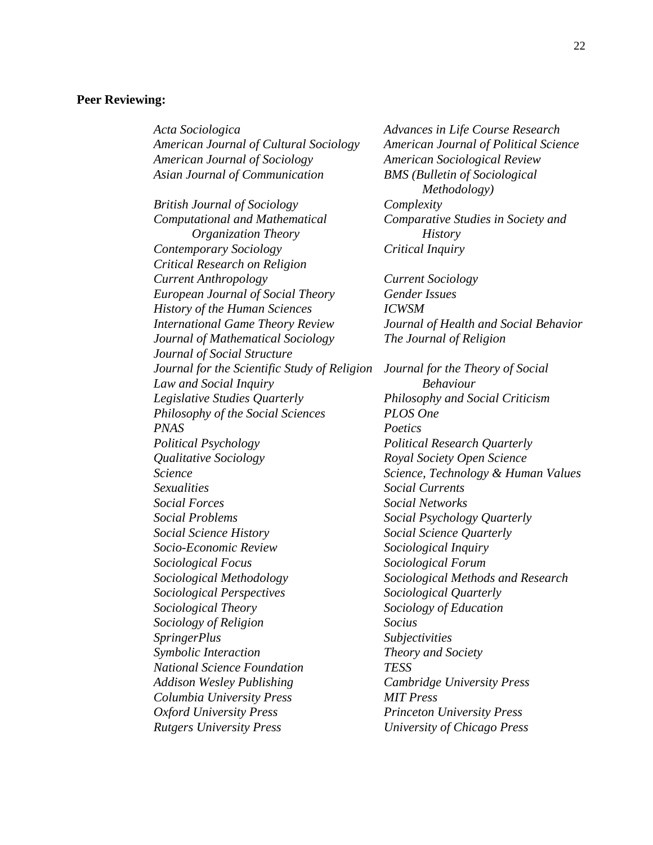## **Peer Reviewing:**

*American Journal of Cultural Sociology American Journal of Political Science American Journal of Sociology American Sociological Review Asian Journal of Communication BMS (Bulletin of Sociological British Journal of Sociology Complexity Computational and Mathematical Comparative Studies in Society and Organization Theory History Contemporary Sociology Critical Inquiry Critical Research on Religion Current Anthropology Current Sociology European Journal of Social Theory Gender Issues History of the Human Sciences ICWSM International Game Theory Review Journal of Health and Social Behavior Journal of Mathematical Sociology The Journal of Religion Journal of Social Structure Journal for the Scientific Study of Religion Journal for the Theory of Social Law and Social Inquiry Behaviour Legislative Studies Quarterly Philosophy and Social Criticism Philosophy of the Social Sciences PLOS One PNAS Poetics Political Psychology Political Research Quarterly Qualitative Sociology Royal Society Open Science Science Science, Technology & Human Values Sexualities Social Currents Social Forces Social Networks Social Problems Social Psychology Quarterly Social Science History Social Science Quarterly Socio-Economic Review Sociological Inquiry Sociological Focus Sociological Forum Sociological Methodology Sociological Methods and Research Sociological Perspectives Sociological Quarterly Sociological Theory Sociology of Education Sociology of Religion Socius SpringerPlus Subjectivities Symbolic Interaction Theory and Society National Science Foundation TESS Addison Wesley Publishing Cambridge University Press Columbia University Press MIT Press Oxford University Press Princeton University Press Rutgers University Press University of Chicago Press*

*Acta Sociologica Advances in Life Course Research Methodology)*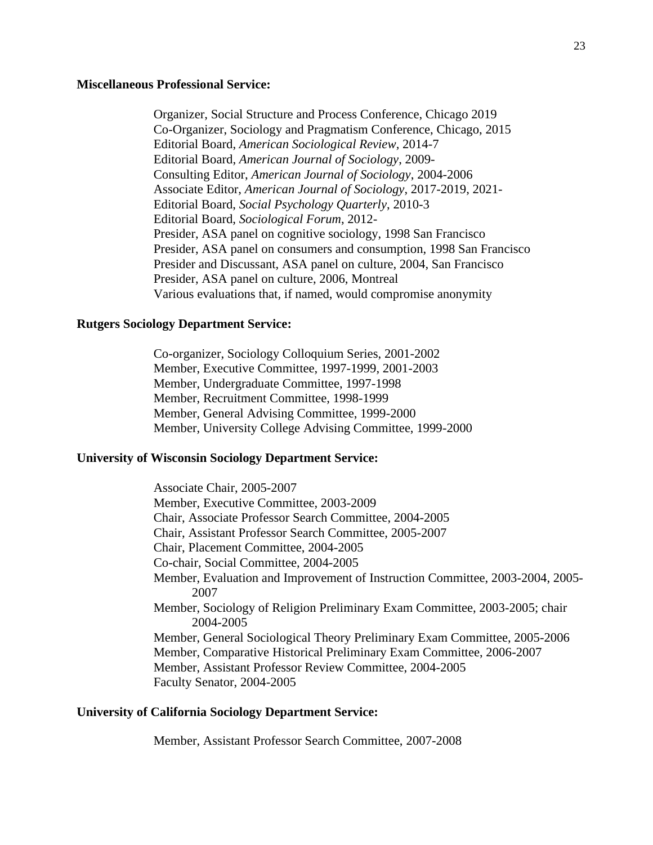### **Miscellaneous Professional Service:**

Organizer, Social Structure and Process Conference, Chicago 2019 Co-Organizer, Sociology and Pragmatism Conference, Chicago, 2015 Editorial Board, *American Sociological Review*, 2014-7 Editorial Board, *American Journal of Sociology*, 2009- Consulting Editor, *American Journal of Sociology*, 2004-2006 Associate Editor, *American Journal of Sociology*, 2017-2019, 2021- Editorial Board, *Social Psychology Quarterly*, 2010-3 Editorial Board, *Sociological Forum*, 2012- Presider, ASA panel on cognitive sociology, 1998 San Francisco Presider, ASA panel on consumers and consumption, 1998 San Francisco Presider and Discussant, ASA panel on culture, 2004, San Francisco Presider, ASA panel on culture, 2006, Montreal Various evaluations that, if named, would compromise anonymity

### **Rutgers Sociology Department Service:**

Co-organizer, Sociology Colloquium Series, 2001-2002 Member, Executive Committee, 1997-1999, 2001-2003 Member, Undergraduate Committee, 1997-1998 Member, Recruitment Committee, 1998-1999 Member, General Advising Committee, 1999-2000 Member, University College Advising Committee, 1999-2000

## **University of Wisconsin Sociology Department Service:**

Associate Chair, 2005-2007 Member, Executive Committee, 2003-2009 Chair, Associate Professor Search Committee, 2004-2005 Chair, Assistant Professor Search Committee, 2005-2007 Chair, Placement Committee, 2004-2005 Co-chair, Social Committee, 2004-2005 Member, Evaluation and Improvement of Instruction Committee, 2003-2004, 2005- 2007 Member, Sociology of Religion Preliminary Exam Committee, 2003-2005; chair 2004-2005 Member, General Sociological Theory Preliminary Exam Committee, 2005-2006 Member, Comparative Historical Preliminary Exam Committee, 2006-2007 Member, Assistant Professor Review Committee, 2004-2005 Faculty Senator, 2004-2005

## **University of California Sociology Department Service:**

Member, Assistant Professor Search Committee, 2007-2008